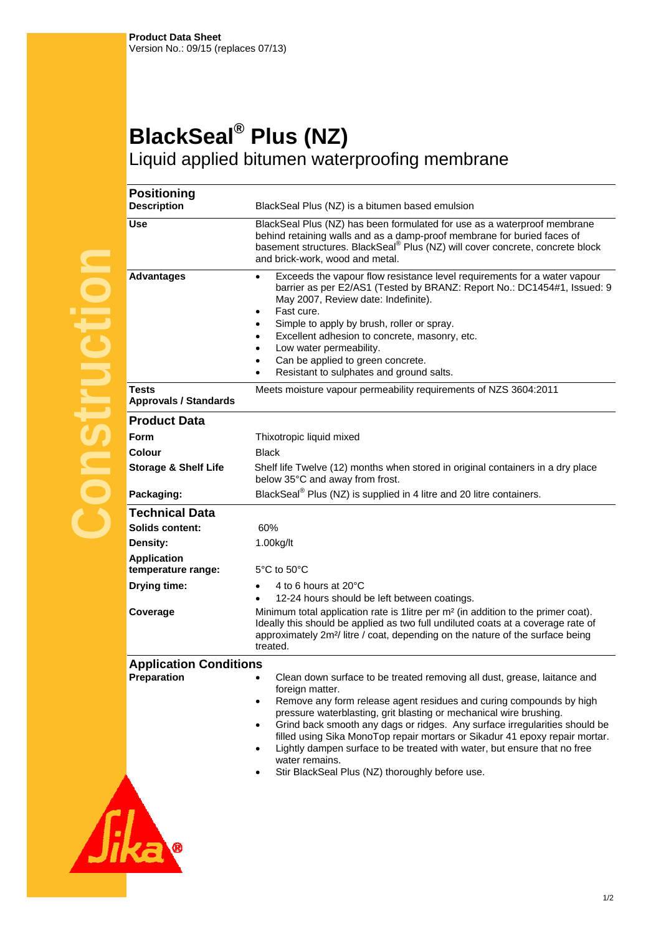## **BlackSeal® Plus (NZ)**  Liquid applied bitumen waterproofing membrane

Plus (NZ) is a bitumen based emulsion

|              | <b>Description</b>                           | BlackSeal Plus (NZ) is a bitumen based emulsion                                                                                                                                                                                                                                                                                                                                                                                               |
|--------------|----------------------------------------------|-----------------------------------------------------------------------------------------------------------------------------------------------------------------------------------------------------------------------------------------------------------------------------------------------------------------------------------------------------------------------------------------------------------------------------------------------|
|              | <b>Use</b>                                   | BlackSeal Plus (NZ) has been formulated for use as a waterproof membrane<br>behind retaining walls and as a damp-proof membrane for buried faces of<br>basement structures. BlackSeal <sup>®</sup> Plus (NZ) will cover concrete, concrete block<br>and brick-work, wood and metal.                                                                                                                                                           |
|              | <b>Advantages</b>                            | Exceeds the vapour flow resistance level requirements for a water vapour<br>$\bullet$<br>barrier as per E2/AS1 (Tested by BRANZ: Report No.: DC1454#1, Issued: 9<br>May 2007, Review date: Indefinite).<br>Fast cure.<br>$\bullet$<br>Simple to apply by brush, roller or spray.<br>Excellent adhesion to concrete, masonry, etc.<br>Low water permeability.<br>Can be applied to green concrete.<br>Resistant to sulphates and ground salts. |
| <b>NJISU</b> | <b>Tests</b><br><b>Approvals / Standards</b> | Meets moisture vapour permeability requirements of NZS 3604:2011                                                                                                                                                                                                                                                                                                                                                                              |
|              | <b>Product Data</b>                          |                                                                                                                                                                                                                                                                                                                                                                                                                                               |
|              | Form                                         | Thixotropic liquid mixed                                                                                                                                                                                                                                                                                                                                                                                                                      |
|              | Colour                                       | <b>Black</b>                                                                                                                                                                                                                                                                                                                                                                                                                                  |
|              | <b>Storage &amp; Shelf Life</b>              | Shelf life Twelve (12) months when stored in original containers in a dry place<br>below 35°C and away from frost.                                                                                                                                                                                                                                                                                                                            |
|              | Packaging:                                   | BlackSeal <sup>®</sup> Plus (NZ) is supplied in 4 litre and 20 litre containers.                                                                                                                                                                                                                                                                                                                                                              |
|              | <b>Technical Data</b>                        |                                                                                                                                                                                                                                                                                                                                                                                                                                               |
|              | <b>Solids content:</b>                       | 60%                                                                                                                                                                                                                                                                                                                                                                                                                                           |
|              | Density:                                     | 1.00kg/lt                                                                                                                                                                                                                                                                                                                                                                                                                                     |
|              | <b>Application</b><br>temperature range:     | $5^{\circ}$ C to $50^{\circ}$ C                                                                                                                                                                                                                                                                                                                                                                                                               |
|              | Drying time:                                 | 4 to 6 hours at 20°C<br>12-24 hours should be left between coatings.                                                                                                                                                                                                                                                                                                                                                                          |
|              | Coverage                                     | Minimum total application rate is 1 litre per $m2$ (in addition to the primer coat).                                                                                                                                                                                                                                                                                                                                                          |

**Positioning** 

- **b** hours at 20°C 4 hours should be left between coatings. total application rate is 1litre per m<sup>2</sup> (in addition to the primer coat). Ideally this should be applied as two full undiluted coats at a coverage rate of approximately 2m²/ litre / coat, depending on the nature of the surface being treated. **Application Conditions Preparation** • Clean down surface to be treated removing all dust, grease, laitance and foreign matter. Remove any form release agent residues and curing compounds by high
	- pressure waterblasting, grit blasting or mechanical wire brushing.
	- Grind back smooth any dags or ridges. Any surface irregularities should be filled using Sika MonoTop repair mortars or Sikadur 41 epoxy repair mortar.
	- Lightly dampen surface to be treated with water, but ensure that no free water remains.
	- Stir BlackSeal Plus (NZ) thoroughly before use.